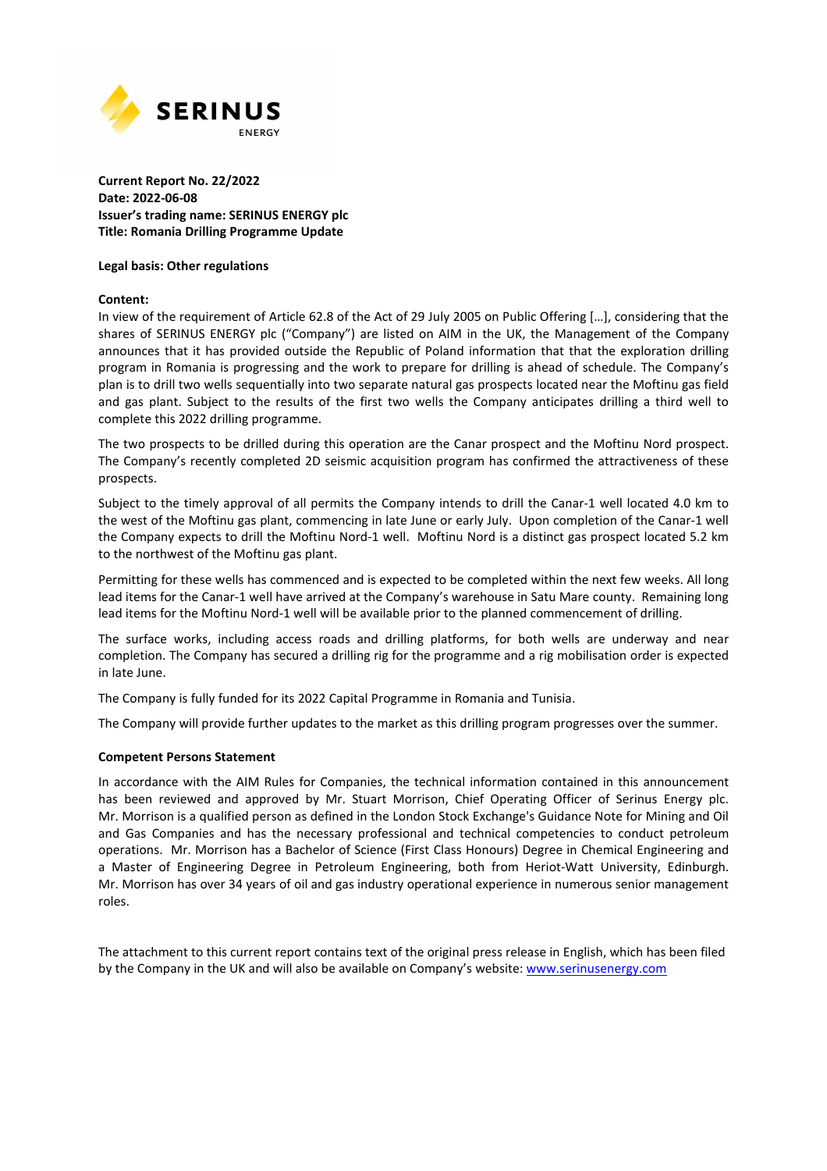

## **Current Report No. 22/2022 Date: 2022-06-08 Issuer's trading name: SERINUS ENERGY plc Title: Romania Drilling Programme Update**

#### **Legal basis: Other regulations**

#### **Content:**

In view of the requirement of Article 62.8 of the Act of 29 July 2005 on Public Offering […], considering that the shares of SERINUS ENERGY plc ("Company") are listed on AIM in the UK, the Management of the Company announces that it has provided outside the Republic of Poland information that that the exploration drilling program in Romania is progressing and the work to prepare for drilling is ahead of schedule. The Company's plan is to drill two wells sequentially into two separate natural gas prospects located near the Moftinu gas field and gas plant. Subject to the results of the first two wells the Company anticipates drilling a third well to complete this 2022 drilling programme.

The two prospects to be drilled during this operation are the Canar prospect and the Moftinu Nord prospect. The Company's recently completed 2D seismic acquisition program has confirmed the attractiveness of these prospects.

Subject to the timely approval of all permits the Company intends to drill the Canar-1 well located 4.0 km to the west of the Moftinu gas plant, commencing in late June or early July. Upon completion of the Canar-1 well the Company expects to drill the Moftinu Nord-1 well. Moftinu Nord is a distinct gas prospect located 5.2 km to the northwest of the Moftinu gas plant.

Permitting for these wells has commenced and is expected to be completed within the next few weeks. All long lead items for the Canar-1 well have arrived at the Company's warehouse in Satu Mare county. Remaining long lead items for the Moftinu Nord-1 well will be available prior to the planned commencement of drilling.

The surface works, including access roads and drilling platforms, for both wells are underway and near completion. The Company has secured a drilling rig for the programme and a rig mobilisation order is expected in late June.

The Company is fully funded for its 2022 Capital Programme in Romania and Tunisia.

The Company will provide further updates to the market as this drilling program progresses over the summer.

### **Competent Persons Statement**

In accordance with the AIM Rules for Companies, the technical information contained in this announcement has been reviewed and approved by Mr. Stuart Morrison, Chief Operating Officer of Serinus Energy plc. Mr. Morrison is a qualified person as defined in the London Stock Exchange's Guidance Note for Mining and Oil and Gas Companies and has the necessary professional and technical competencies to conduct petroleum operations. Mr. Morrison has a Bachelor of Science (First Class Honours) Degree in Chemical Engineering and a Master of Engineering Degree in Petroleum Engineering, both from Heriot-Watt University, Edinburgh. Mr. Morrison has over 34 years of oil and gas industry operational experience in numerous senior management roles.

The attachment to this current report contains text of the original press release in English, which has been filed by the Company in the UK and will also be available on Company's website: www.serinusenergy.com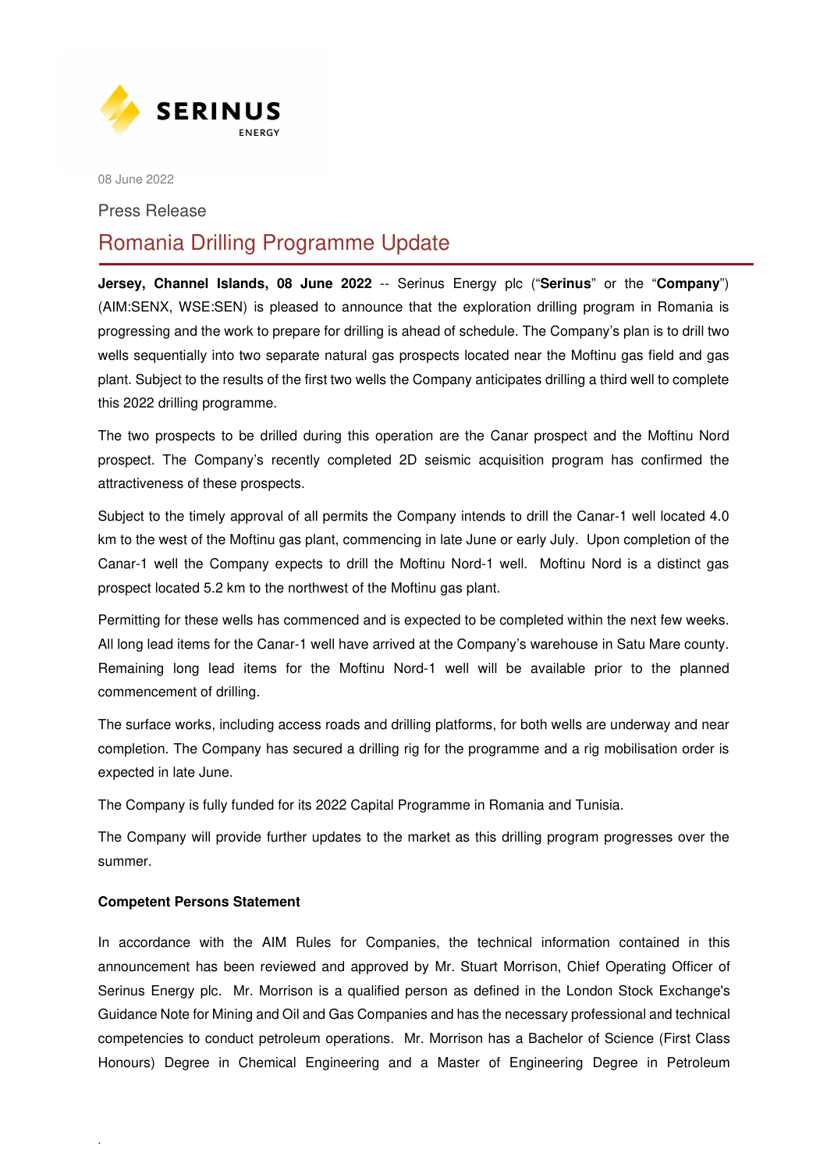

08 June 2022

Press Release

# Romania Drilling Programme Update

**Jersey, Channel Islands, 08 June 2022** -- Serinus Energy plc ("**Serinus**" or the "**Company**") (AIM:SENX, WSE:SEN) is pleased to announce that the exploration drilling program in Romania is progressing and the work to prepare for drilling is ahead of schedule. The Company's plan is to drill two wells sequentially into two separate natural gas prospects located near the Moftinu gas field and gas plant. Subject to the results of the first two wells the Company anticipates drilling a third well to complete this 2022 drilling programme.

The two prospects to be drilled during this operation are the Canar prospect and the Moftinu Nord prospect. The Company's recently completed 2D seismic acquisition program has confirmed the attractiveness of these prospects.

Subject to the timely approval of all permits the Company intends to drill the Canar-1 well located 4.0 km to the west of the Moftinu gas plant, commencing in late June or early July. Upon completion of the Canar-1 well the Company expects to drill the Moftinu Nord-1 well. Moftinu Nord is a distinct gas prospect located 5.2 km to the northwest of the Moftinu gas plant.

Permitting for these wells has commenced and is expected to be completed within the next few weeks. All long lead items for the Canar-1 well have arrived at the Company's warehouse in Satu Mare county. Remaining long lead items for the Moftinu Nord-1 well will be available prior to the planned commencement of drilling.

The surface works, including access roads and drilling platforms, for both wells are underway and near completion. The Company has secured a drilling rig for the programme and a rig mobilisation order is expected in late June.

The Company is fully funded for its 2022 Capital Programme in Romania and Tunisia.

The Company will provide further updates to the market as this drilling program progresses over the summer.

# **Competent Persons Statement**

.

In accordance with the AIM Rules for Companies, the technical information contained in this announcement has been reviewed and approved by Mr. Stuart Morrison, Chief Operating Officer of Serinus Energy plc. Mr. Morrison is a qualified person as defined in the London Stock Exchange's Guidance Note for Mining and Oil and Gas Companies and has the necessary professional and technical competencies to conduct petroleum operations. Mr. Morrison has a Bachelor of Science (First Class Honours) Degree in Chemical Engineering and a Master of Engineering Degree in Petroleum